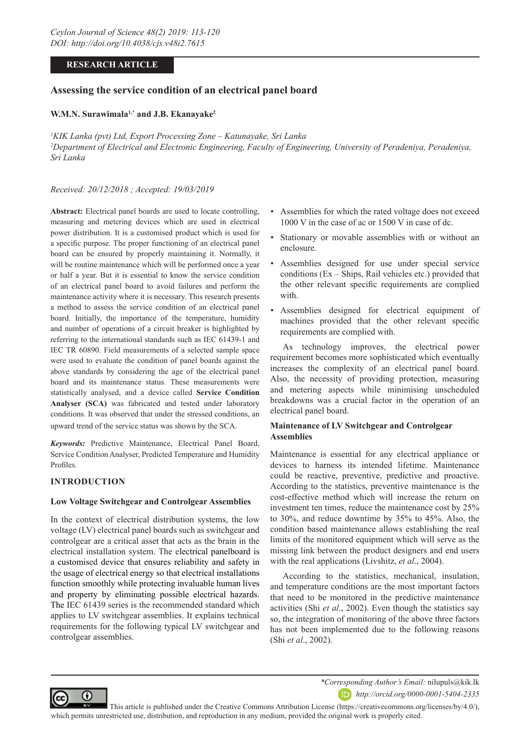# **RESEARCH ARTICLE**

# **Assessing the service condition of an electrical panel board**

## **W.M.N. Surawimala1,\* and J.B. Ekanayake2**

*1 KIK Lanka (pvt) Ltd, Export Processing Zone – Katunayake, Sri Lanka* <sup>2</sup>Department of Electrical and Electronic Engineering, Faculty of Engineering, University of Peradeniya, Peradeniya, *Sri Lanka*

## *Received: 20/12/2018 ; Accepted: 19/03/2019*

**Abstract:** Electrical panel boards are used to locate controlling, measuring and metering devices which are used in electrical power distribution. It is a customised product which is used for a specific purpose. The proper functioning of an electrical panel board can be ensured by properly maintaining it. Normally, it will be routine maintenance which will be performed once a year or half a year. But it is essential to know the service condition of an electrical panel board to avoid failures and perform the maintenance activity where it is necessary. This research presents a method to assess the service condition of an electrical panel board. Initially, the importance of the temperature, humidity and number of operations of a circuit breaker is highlighted by referring to the international standards such as IEC 61439-1 and IEC TR 60890. Field measurements of a selected sample space were used to evaluate the condition of panel boards against the above standards by considering the age of the electrical panel board and its maintenance status. These measurements were statistically analysed, and a device called **Service Condition Analyser (SCA)** was fabricated and tested under laboratory conditions. It was observed that under the stressed conditions, an upward trend of the service status was shown by the SCA.

*Keywords:* Predictive Maintenance, Electrical Panel Board, Service Condition Analyser, Predicted Temperature and Humidity Profiles.

# **INTRODUCTION**

⋒

### **Low Voltage Switchgear and Controlgear Assemblies**

In the context of electrical distribution systems, the low voltage (LV) electrical panel boards such as switchgear and controlgear are a critical asset that acts as the brain in the electrical installation system. The electrical panelboard is a customised device that ensures reliability and safety in the usage of electrical energy so that electrical installations function smoothly while protecting invaluable human lives and property by eliminating possible electrical hazards. The IEC 61439 series is the recommended standard which applies to LV switchgear assemblies. It explains technical requirements for the following typical LV switchgear and controlgear assemblies.

- Assemblies for which the rated voltage does not exceed 1000 V in the case of ac or 1500 V in case of dc.
- Stationary or movable assemblies with or without an enclosure.
- Assemblies designed for use under special service conditions (Ex – Ships, Rail vehicles etc.) provided that the other relevant specific requirements are complied with.
- Assemblies designed for electrical equipment of machines provided that the other relevant specific requirements are complied with.

As technology improves, the electrical power requirement becomes more sophisticated which eventually increases the complexity of an electrical panel board. Also, the necessity of providing protection, measuring and metering aspects while minimising unscheduled breakdowns was a crucial factor in the operation of an electrical panel board.

# **Maintenance of LV Switchgear and Controlgear Assemblies**

Maintenance is essential for any electrical appliance or devices to harness its intended lifetime. Maintenance could be reactive, preventive, predictive and proactive. According to the statistics, preventive maintenance is the cost-effective method which will increase the return on investment ten times, reduce the maintenance cost by 25% to 30%, and reduce downtime by 35% to 45%. Also, the condition based maintenance allows establishing the real limits of the monitored equipment which will serve as the missing link between the product designers and end users with the real applications (Livshitz, *et al*., 2004).

According to the statistics, mechanical, insulation, and temperature conditions are the most important factors that need to be monitored in the predictive maintenance activities (Shi *et al*., 2002). Even though the statistics say so, the integration of monitoring of the above three factors has not been implemented due to the following reasons (Shi *et al*., 2002).



 This article is published under the Creative Commons Attribution License (https://creativecommons.org/licenses/by/4.0/), which permits unrestricted use, distribution, and reproduction in any medium, provided the original work is properly cited.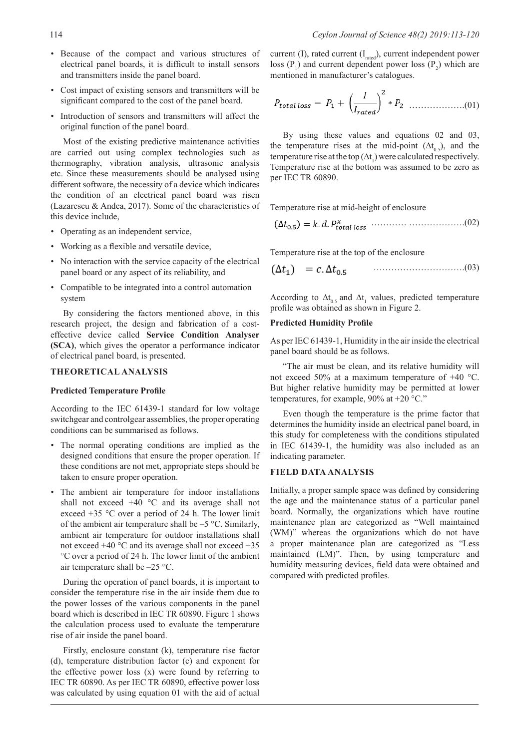- Because of the compact and various structures of electrical panel boards, it is difficult to install sensors and transmitters inside the panel board.
- Cost impact of existing sensors and transmitters will be significant compared to the cost of the panel board.
- Introduction of sensors and transmitters will affect the original function of the panel board.

Most of the existing predictive maintenance activities are carried out using complex technologies such as thermography, vibration analysis, ultrasonic analysis etc. Since these measurements should be analysed using different software, the necessity of a device which indicates the condition of an electrical panel board was risen (Lazarescu & Andea, 2017). Some of the characteristics of this device include,

- Operating as an independent service,
- Working as a flexible and versatile device,
- No interaction with the service capacity of the electrical panel board or any aspect of its reliability, and
- Compatible to be integrated into a control automation system

By considering the factors mentioned above, in this research project, the design and fabrication of a costeffective device called **Service Condition Analyser (SCA)**, which gives the operator a performance indicator of electrical panel board, is presented.

#### **THEORETICAL ANALYSIS**

#### **Predicted Temperature Profile**

According to the IEC 61439-1 standard for low voltage switchgear and controlgear assemblies, the proper operating conditions can be summarised as follows.

- The normal operating conditions are implied as the designed conditions that ensure the proper operation. If these conditions are not met, appropriate steps should be taken to ensure proper operation.
- The ambient air temperature for indoor installations shall not exceed +40 °C and its average shall not exceed +35 °C over a period of 24 h. The lower limit of the ambient air temperature shall be –5 °C. Similarly, ambient air temperature for outdoor installations shall not exceed +40 °C and its average shall not exceed +35 °C over a period of 24 h. The lower limit of the ambient air temperature shall be –25 °C.

During the operation of panel boards, it is important to consider the temperature rise in the air inside them due to the power losses of the various components in the panel board which is described in IEC TR 60890. Figure 1 shows the calculation process used to evaluate the temperature rise of air inside the panel board.

Firstly, enclosure constant (k), temperature rise factor (d), temperature distribution factor (c) and exponent for the effective power loss (x) were found by referring to IEC TR 60890. As per IEC TR 60890, effective power loss was calculated by using equation 01 with the aid of actual

current (I), rated current  $(I<sub>rad</sub>)$ , current independent power loss  $(P_1)$  and current dependent power loss  $(P_2)$  which are mentioned in manufacturer's catalogues.

$$
P_{total\;loss} = P_1 + \left(\frac{I}{I_{rated}}\right)^2 * P_2 \quad \dots \dots \dots \dots \dots (01)
$$

By using these values and equations 02 and 03, the temperature rises at the mid-point  $( \Delta t_{0.5})$ , and the temperature rise at the top  $(∆t<sub>1</sub>)$  were calculated respectively. Temperature rise at the bottom was assumed to be zero as per IEC TR 60890.

Temperature rise at mid-height of enclosure

…………… ……………….(02)

Temperature rise at the top of the enclosure

………………………….(03)

According to  $\Delta t_{0.5}$  and  $\Delta t_1$  values, predicted temperature profile was obtained as shown in Figure 2.

#### **Predicted Humidity Profile**

As per IEC 61439-1, Humidity in the air inside the electrical panel board should be as follows.

"The air must be clean, and its relative humidity will not exceed 50% at a maximum temperature of +40 °C. But higher relative humidity may be permitted at lower temperatures, for example, 90% at +20 °C."

Even though the temperature is the prime factor that determines the humidity inside an electrical panel board, in this study for completeness with the conditions stipulated in IEC 61439-1, the humidity was also included as an indicating parameter.

## **FIELD DATA ANALYSIS**

Initially, a proper sample space was defined by considering the age and the maintenance status of a particular panel board. Normally, the organizations which have routine maintenance plan are categorized as "Well maintained (WM)" whereas the organizations which do not have a proper maintenance plan are categorized as "Less maintained (LM)". Then, by using temperature and humidity measuring devices, field data were obtained and compared with predicted profiles.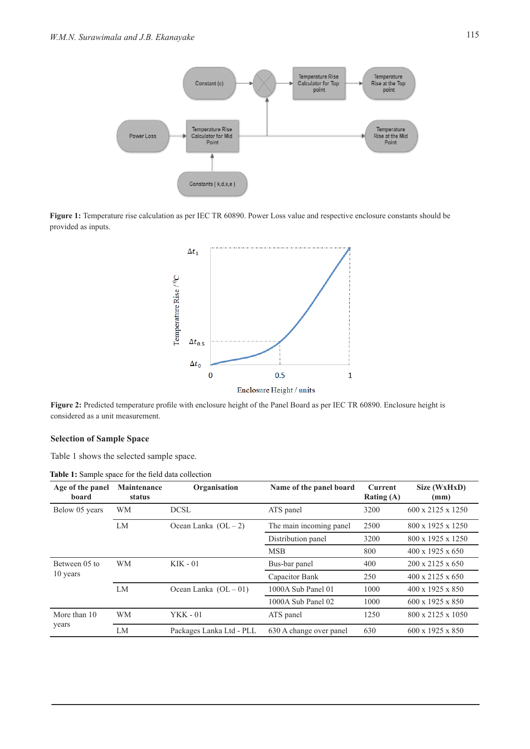

Figure 1: Temperature rise calculation as per IEC TR 60890. Power Loss value and respective enclosure constants should be provided as inputs.



Figure 2: Predicted temperature profile with enclosure height of the Panel Board as per IEC TR 60890. Enclosure height is considered as a unit measurement.

# **Selection of Sample Space**

Table 1 shows the selected sample space.

**Table 1:** Sample space for the field data collection

| Age of the panel<br>board | <b>Maintenance</b><br>status | Organisation             | Name of the panel board | <b>Current</b><br>Rating (A) | Size (WxHxD)<br>(mm)          |
|---------------------------|------------------------------|--------------------------|-------------------------|------------------------------|-------------------------------|
| Below 05 years            | <b>WM</b>                    | DCSL                     | ATS panel               | 3200                         | $600 \times 2125 \times 1250$ |
|                           | LM                           | Ocean Lanka $(OL-2)$     | The main incoming panel | 2500                         | 800 x 1925 x 1250             |
|                           |                              |                          | Distribution panel      | 3200                         | 800 x 1925 x 1250             |
|                           |                              |                          | <b>MSB</b>              | 800                          | $400 \times 1925 \times 650$  |
| Between 05 to             | WM                           | $KIK - 01$               | Bus-bar panel           | 400                          | $200 \times 2125 \times 650$  |
| 10 years                  |                              |                          | Capacitor Bank          | 250                          | $400 \times 2125 \times 650$  |
|                           | LM                           | Ocean Lanka $(OL-01)$    | 1000A Sub Panel 01      | 1000                         | 400 x 1925 x 850              |
|                           |                              |                          | 1000A Sub Panel 02      | 1000                         | 600 x 1925 x 850              |
| More than 10              | <b>WM</b>                    | $YKK - 01$               | ATS panel               | 1250                         | 800 x 2125 x 1050             |
| years                     | LM                           | Packages Lanka Ltd - PLL | 630 A change over panel | 630                          | 600 x 1925 x 850              |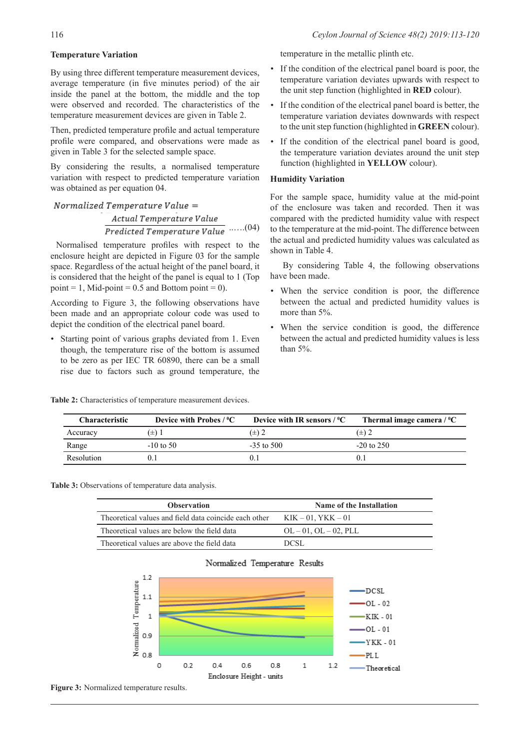## **Temperature Variation**

By using three different temperature measurement devices, average temperature (in five minutes period) of the air inside the panel at the bottom, the middle and the top were observed and recorded. The characteristics of the temperature measurement devices are given in Table 2.

Then, predicted temperature profile and actual temperature profile were compared, and observations were made as given in Table 3 for the selected sample space.

By considering the results, a normalised temperature variation with respect to predicted temperature variation was obtained as per equation 04.

# $\textit{Normalized Temperature Value} =$ Actual Temperature Value **Predicted Temperature Value** ......(04)

 Normalised temperature profiles with respect to the enclosure height are depicted in Figure 03 for the sample space. Regardless of the actual height of the panel board, it is considered that the height of the panel is equal to 1 (Top point = 1, Mid-point =  $0.5$  and Bottom point = 0).

According to Figure 3, the following observations have been made and an appropriate colour code was used to depict the condition of the electrical panel board.

Starting point of various graphs deviated from 1. Even though, the temperature rise of the bottom is assumed to be zero as per IEC TR 60890, there can be a small rise due to factors such as ground temperature, the

**Table 2:** Characteristics of temperature measurement devices.

temperature in the metallic plinth etc.

- If the condition of the electrical panel board is poor, the temperature variation deviates upwards with respect to the unit step function (highlighted in **RED** colour).
- If the condition of the electrical panel board is better, the temperature variation deviates downwards with respect to the unit step function (highlighted in **GREEN** colour).
- If the condition of the electrical panel board is good, the temperature variation deviates around the unit step function (highlighted in **YELLOW** colour).

## **Humidity Variation**

For the sample space, humidity value at the mid-point of the enclosure was taken and recorded. Then it was compared with the predicted humidity value with respect to the temperature at the mid-point. The difference between the actual and predicted humidity values was calculated as shown in Table 4.

By considering Table 4, the following observations have been made.

- When the service condition is poor, the difference between the actual and predicted humidity values is more than 5%.
- When the service condition is good, the difference between the actual and predicted humidity values is less than 5%.

| <b>Characteristic</b> | Device with Probes $/$ <sup>0</sup> C | Device with IR sensors $/$ <sup>0</sup> C | Thermal image camera $\ell$ <sup>o</sup> C |
|-----------------------|---------------------------------------|-------------------------------------------|--------------------------------------------|
| Accuracy              | 〔士〕                                   | $(\pm)$ 2                                 | ±) Z                                       |
| Range                 | $-10$ to 50                           | $-35$ to 500                              | $-20$ to $250$                             |
| Resolution            |                                       |                                           |                                            |

**Table 3:** Observations of temperature data analysis.

| <b>Observation</b>                                    | <b>Name of the Installation</b> |
|-------------------------------------------------------|---------------------------------|
| Theoretical values and field data coincide each other | $KIK - 01, YKK - 01$            |
| Theoretical values are below the field data           | $OL - 01$ , $OL - 02$ , PLL     |
| Theoretical values are above the field data           | DCSL.                           |



**Figure 3:** Normalized temperature results.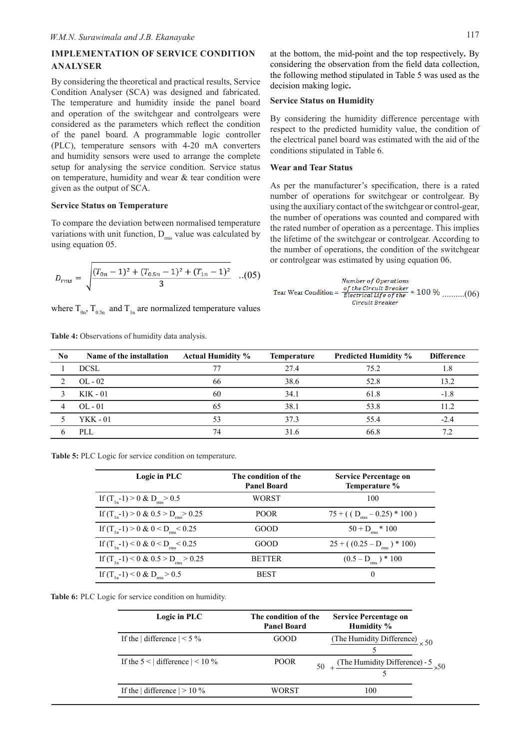# **IMPLEMENTATION OF SERVICE CONDITION ANALYSER**

By considering the theoretical and practical results, Service Condition Analyser (SCA) was designed and fabricated. The temperature and humidity inside the panel board and operation of the switchgear and controlgears were considered as the parameters which reflect the condition of the panel board. A programmable logic controller (PLC), temperature sensors with 4-20 mA converters and humidity sensors were used to arrange the complete setup for analysing the service condition. Service status on temperature, humidity and wear  $&$  tear condition were given as the output of SCA.

## **Service Status on Temperature**

To compare the deviation between normalised temperature variations with unit function,  $D_{rms}$  value was calculated by using equation 05.

$$
D_{rms} = \sqrt{\frac{(T_{0n} - 1)^2 + (T_{0.5n} - 1)^2 + (T_{1n} - 1)^2}{3}}
$$
...(05)

where  $T_{0.5}$ ,  $T_{0.5}$  and  $T_{1n}$  are normalized temperature values

**Table 4:** Observations of humidity data analysis.

at the bottom, the mid-point and the top respectively**.** By considering the observation from the field data collection, the following method stipulated in Table 5 was used as the decision making logic**.**

#### **Service Status on Humidity**

By considering the humidity difference percentage with respect to the predicted humidity value, the condition of the electrical panel board was estimated with the aid of the conditions stipulated in Table 6.

#### **Wear and Tear Status**

As per the manufacturer's specification, there is a rated number of operations for switchgear or controlgear. By using the auxiliary contact of the switchgear or control-gear, the number of operations was counted and compared with the rated number of operation as a percentage. This implies the lifetime of the switchgear or controlgear. According to the number of operations, the condition of the switchgear or controlgear was estimated by using equation 06.

Number of Operations ..................(06) Circuit Breaker

| N <sub>0</sub> | Name of the installation | <b>Actual Humidity %</b> | <b>Temperature</b> | <b>Predicted Humidity %</b> | <b>Difference</b> |
|----------------|--------------------------|--------------------------|--------------------|-----------------------------|-------------------|
|                | <b>DCSL</b>              |                          | 27.4               | 75.2                        |                   |
|                | $OL - 02$                | 66                       | 38.6               | 52.8                        | 13.2              |
|                | $KIK - 01$               | 60                       | 34.1               | 61.8                        | $-1.8$            |
| 4              | $OL - 01$                | 65                       | 38.1               | 53.8                        | 11 2              |
|                | <b>YKK - 01</b>          | 53                       | 37.3               | 55.4                        | $-2.4$            |
|                | PLL                      | 74                       | 316                | 66.8                        | 72                |
|                |                          |                          |                    |                             |                   |



| Logic in PLC                                          | The condition of the<br><b>Panel Board</b> | <b>Service Percentage on</b><br>Temperature % |
|-------------------------------------------------------|--------------------------------------------|-----------------------------------------------|
| If $(T_{in} - 1) > 0$ & $D_{rms} > 0.5$               | WORST                                      | 100                                           |
| If $(T_{1n}-1) > 0 \& 0.5 > D_{rms} > 0.25$           | <b>POOR</b>                                | $75 + ( (Drms - 0.25) * 100 )$                |
| If $(T_{1n}-1) > 0 \& 0 < D_{rms} < 0.25$             | <b>GOOD</b>                                | $50 + Drms * 100$                             |
| If $(T_{1n}-1)$ < 0 & 0 < D <sub>rms</sub> < 0.25     | GOOD.                                      | $25 + (0.25 - D_{rms}) * 100$                 |
| If $(T_{1n} - 1)$ < 0 & 0.5 > D <sub>rms</sub> > 0.25 | <b>BETTER</b>                              | $(0.5 - Drms) * 100$                          |
| If $(T_{in} - 1)$ < 0 & D <sub>rms</sub> > 0.5        | <b>BEST</b>                                | 0                                             |



| Logic in PLC                             | The condition of the<br><b>Panel Board</b> | <b>Service Percentage on</b><br>Humidity %       |
|------------------------------------------|--------------------------------------------|--------------------------------------------------|
| If the difference $1 < 5\%$              | GOOD                                       | (The Humidity Difference) $\times$ 50            |
| If the $5 <$ difference $  < 10\%$       | POOR.                                      | $50 +$ (The Humidity Difference) - 5 $\times$ 50 |
| If the $\vert$ difference $\vert$ > 10 % | WORST                                      | 100                                              |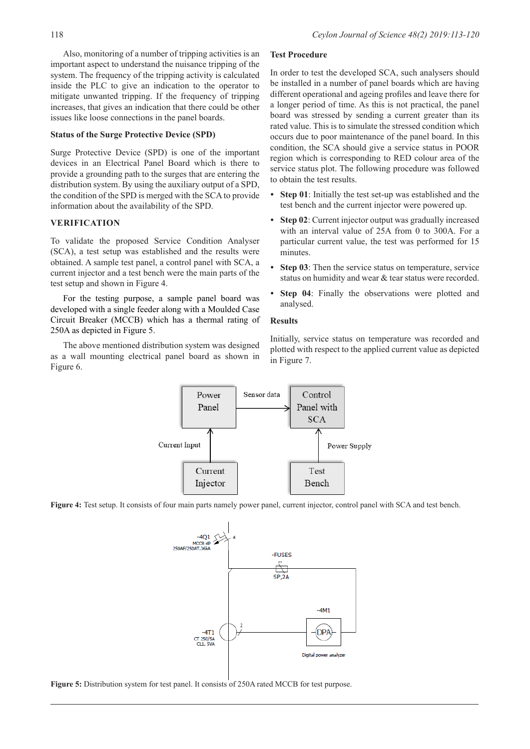Also, monitoring of a number of tripping activities is an important aspect to understand the nuisance tripping of the system. The frequency of the tripping activity is calculated inside the PLC to give an indication to the operator to mitigate unwanted tripping. If the frequency of tripping increases, that gives an indication that there could be other issues like loose connections in the panel boards.

#### **Status of the Surge Protective Device (SPD)**

Surge Protective Device (SPD) is one of the important devices in an Electrical Panel Board which is there to provide a grounding path to the surges that are entering the distribution system. By using the auxiliary output of a SPD, the condition of the SPD is merged with the SCA to provide information about the availability of the SPD.

### **VERIFICATION**

To validate the proposed Service Condition Analyser (SCA), a test setup was established and the results were obtained. A sample test panel, a control panel with SCA, a current injector and a test bench were the main parts of the test setup and shown in Figure 4.

For the testing purpose, a sample panel board was developed with a single feeder along with a Moulded Case Circuit Breaker (MCCB) which has a thermal rating of 250A as depicted in Figure 5.

The above mentioned distribution system was designed as a wall mounting electrical panel board as shown in Figure 6.

## **Test Procedure**

In order to test the developed SCA, such analysers should be installed in a number of panel boards which are having different operational and ageing profiles and leave there for a longer period of time. As this is not practical, the panel board was stressed by sending a current greater than its rated value. This is to simulate the stressed condition which occurs due to poor maintenance of the panel board. In this condition, the SCA should give a service status in POOR region which is corresponding to RED colour area of the service status plot. The following procedure was followed to obtain the test results.

- **Step 01**: Initially the test set-up was established and the test bench and the current injector were powered up.
- **Step 02**: Current injector output was gradually increased with an interval value of 25A from 0 to 300A. For a particular current value, the test was performed for 15 minutes.
- **Step 03**: Then the service status on temperature, service status on humidity and wear & tear status were recorded.
- **Step 04**: Finally the observations were plotted and analysed.

#### **Results**

Initially, service status on temperature was recorded and plotted with respect to the applied current value as depicted in Figure 7.



**Figure 4:** Test setup. It consists of four main parts namely power panel, current injector, control panel with SCA and test bench.



**Figure 5:** Distribution system for test panel. It consists of 250A rated MCCB for test purpose.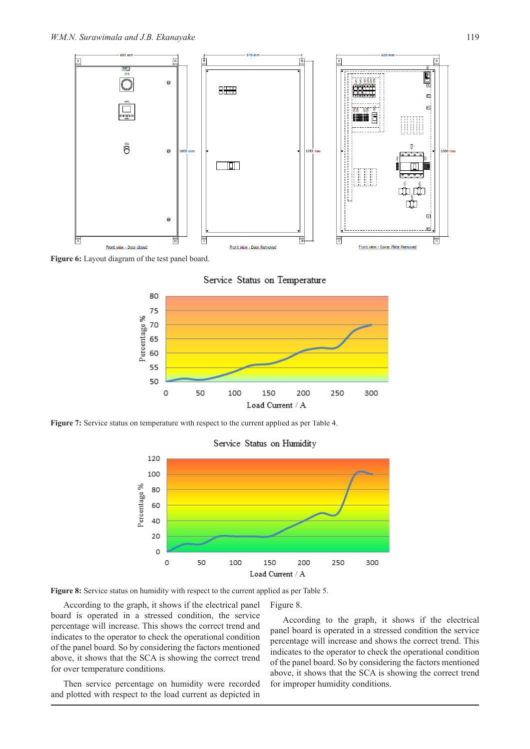

Figure 6: Layout diagram of the test panel board.

Service Status on Temperature



Figure 7: Service status on temperature with respect to the current applied as per Table 4.



Figure 8.

# Service Status on Humidity

Figure 8: Service status on humidity with respect to the current applied as per Table 5.

According to the graph, it shows if the electrical panel board is operated in a stressed condition, the service percentage will increase. This shows the correct trend and indicates to the operator to check the operational condition of the panel board. So by considering the factors mentioned above, it shows that the SCA is showing the correct trend for over temperature conditions.

Then service percentage on humidity were recorded and plotted with respect to the load current as depicted in

According to the graph, it shows if the electrical panel board is operated in a stressed condition the service percentage will increase and shows the correct trend. This indicates to the operator to check the operational condition of the panel board. So by considering the factors mentioned above, it shows that the SCA is showing the correct trend for improper humidity conditions.